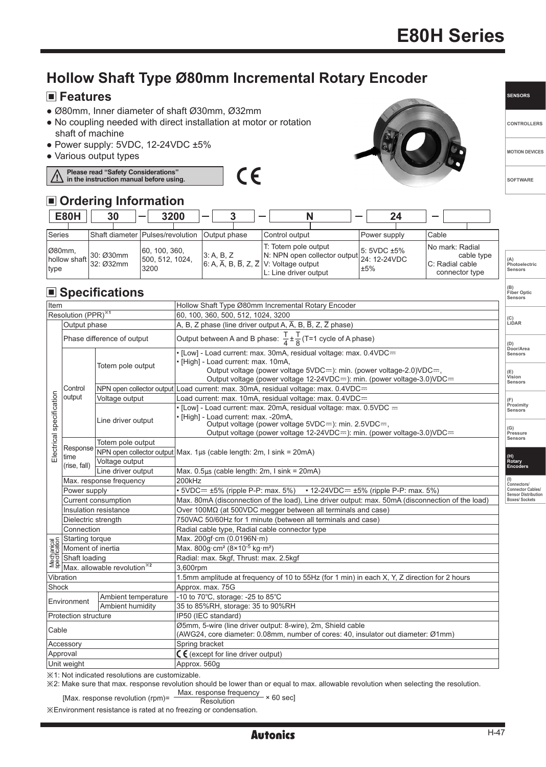## **E80H Series**

## **Hollow Shaft Type Ø80mm Incremental Rotary Encoder**

### **Features**

- Ø80mm, Inner diameter of shaft Ø30mm, Ø32mm
- No coupling needed with direct installation at motor or rotation shaft of machine
- Power supply: 5VDC, 12-24VDC ±5%
- Various output types

**Please read "Safety Considerations" in the instruction manual before using.**ΛŊ

# $C \in$



**SENSORS**

**CONTROLLERS**

**MOTION DEVICES**

**SOFTWARE**

**(B) Fiber Optic Sensors**

### **Ordering Information**

| <b>E80H</b>                    | 30                     | 3200                                     | $\overline{\phantom{0}}$                                                               |                                                                                            | 24                      |                                                                    |                                |
|--------------------------------|------------------------|------------------------------------------|----------------------------------------------------------------------------------------|--------------------------------------------------------------------------------------------|-------------------------|--------------------------------------------------------------------|--------------------------------|
| Series                         |                        | Shaft diameter lPulses/revolution        | Output phase                                                                           | Control output                                                                             | Power supply            | <b>Cable</b>                                                       |                                |
| Ø80mm,<br>hollow shaft<br>type | 30: Ø30mm<br>32: Ø32mm | 60, 100, 360,<br>500, 512, 1024,<br>3200 | 3: A, B, Z<br>$6: A, \overline{A}, B, \overline{B}, Z, \overline{Z}$ V: Voltage output | T: Totem pole output<br>N: NPN open collector output 24: 12-24VDC<br>L: Line driver output | $5:5VDC \pm 5\%$<br>±5% | No mark: Radial<br>cable type<br>C: Radial cable<br>connector type | (A)<br>Photoelectri<br>Sensors |

### **Specifications**

| Item                                                                                                                                                                                                                                                                                                         |                                                      | Hollow Shaft Type Ø80mm Incremental Rotary Encoder                                                                                                                        |                                                        |  |
|--------------------------------------------------------------------------------------------------------------------------------------------------------------------------------------------------------------------------------------------------------------------------------------------------------------|------------------------------------------------------|---------------------------------------------------------------------------------------------------------------------------------------------------------------------------|--------------------------------------------------------|--|
| Resolution (PPR) <sup>34</sup>                                                                                                                                                                                                                                                                               |                                                      | 60, 100, 360, 500, 512, 1024, 3200                                                                                                                                        |                                                        |  |
| Output phase                                                                                                                                                                                                                                                                                                 |                                                      | A, B, Z phase (line driver output A, A, B, B, Z, Z phase)                                                                                                                 | (C)<br>LiDAR                                           |  |
|                                                                                                                                                                                                                                                                                                              | Phase difference of output                           | Output between A and B phase: $\frac{T}{4} \pm \frac{T}{8}$ (T=1 cycle of A phase)                                                                                        | (D)                                                    |  |
|                                                                                                                                                                                                                                                                                                              | Totem pole output                                    | • [Low] - Load current: max. 30mA, residual voltage: max. 0.4VDC=<br>· [High] - Load current: max. 10mA,                                                                  | Door/Area<br>Sensors                                   |  |
|                                                                                                                                                                                                                                                                                                              |                                                      | Output voltage (power voltage 5VDC=): min. (power voltage-2.0)VDC=,<br>Output voltage (power voltage 12-24VDC=): min. (power voltage-3.0)VDC=                             | (E)<br>Vision<br>Sensors                               |  |
| Control                                                                                                                                                                                                                                                                                                      |                                                      | NPN open collector output Load current: max. 30mA, residual voltage: max. 0.4VDC=                                                                                         |                                                        |  |
| output                                                                                                                                                                                                                                                                                                       | Voltage output                                       | Load current: max. 10mA, residual voltage: max. 0.4VDC=                                                                                                                   | (F)                                                    |  |
|                                                                                                                                                                                                                                                                                                              |                                                      | • [Low] - Load current: max. 20mA, residual voltage: max. 0.5VDC =                                                                                                        | Proximity<br>Sensors                                   |  |
| Electrical specification                                                                                                                                                                                                                                                                                     | Line driver output                                   | · [High] - Load current: max. -20mA,<br>Output voltage (power voltage 5VDC==): min. 2.5VDC==,<br>Output voltage (power voltage 12-24VDC==): min. (power voltage-3.0)VDC== | (G)<br>Pressure                                        |  |
|                                                                                                                                                                                                                                                                                                              | Totem pole output                                    |                                                                                                                                                                           | Sensors                                                |  |
| Response                                                                                                                                                                                                                                                                                                     |                                                      | NPN open collector output   Max. 1µs (cable length: 2m, I sink = 20mA)                                                                                                    |                                                        |  |
| time                                                                                                                                                                                                                                                                                                         | Voltage output                                       |                                                                                                                                                                           | (H)<br>Rotary<br>Encoders                              |  |
| (rise, fall)                                                                                                                                                                                                                                                                                                 | Line driver output                                   | Max. $0.5\mu s$ (cable length: 2m, I sink = 20mA)                                                                                                                         |                                                        |  |
|                                                                                                                                                                                                                                                                                                              | Max. response frequency                              | 200kHz                                                                                                                                                                    | (1)<br>Connectors/                                     |  |
| Power supply                                                                                                                                                                                                                                                                                                 |                                                      | • 5VDC== ±5% (ripple P-P: max. 5%) • 12-24VDC== ±5% (ripple P-P: max. 5%)                                                                                                 | <b>Connector Cables/</b><br><b>Sensor Distribution</b> |  |
| Current consumption                                                                                                                                                                                                                                                                                          |                                                      | Max. 80mA (disconnection of the load), Line driver output: max. 50mA (disconnection of the load)                                                                          | <b>Boxes/Sockets</b>                                   |  |
| Insulation resistance                                                                                                                                                                                                                                                                                        |                                                      | Over 100MΩ (at 500VDC megger between all terminals and case)                                                                                                              |                                                        |  |
| Dielectric strength                                                                                                                                                                                                                                                                                          |                                                      | 750VAC 50/60Hz for 1 minute (between all terminals and case)                                                                                                              |                                                        |  |
| Connection                                                                                                                                                                                                                                                                                                   |                                                      | Radial cable type, Radial cable connector type                                                                                                                            |                                                        |  |
|                                                                                                                                                                                                                                                                                                              |                                                      | Max. 200qf·cm (0.0196N·m)                                                                                                                                                 |                                                        |  |
|                                                                                                                                                                                                                                                                                                              |                                                      | Max. 800q·cm <sup>2</sup> ( $8 \times 10^{-5}$ kg·m <sup>2</sup> )                                                                                                        |                                                        |  |
|                                                                                                                                                                                                                                                                                                              |                                                      | Radial: max. 5kgf, Thrust: max. 2.5kgf                                                                                                                                    |                                                        |  |
| $\frac{\overline{\text{MS}}}{\overline{\text{MS}}}$ Starting torque<br>$\frac{\overline{\text{MS}}}{\overline{\text{MS}}}$ Moment of inertia<br>$\frac{\overline{\text{MS}}}{\overline{\text{MS}}}$ Shaft loading<br>$\geq$ $\frac{\overline{\text{MS}}}{\text{M}}$ Max. allowable revolution <sup>362</sup> |                                                      | 3,600rpm                                                                                                                                                                  |                                                        |  |
| Vibration                                                                                                                                                                                                                                                                                                    |                                                      | 1.5mm amplitude at frequency of 10 to 55Hz (for 1 min) in each X, Y, Z direction for 2 hours                                                                              |                                                        |  |
| Shock                                                                                                                                                                                                                                                                                                        |                                                      | Approx. max. 75G                                                                                                                                                          |                                                        |  |
| Ambient temperature<br>Environment<br>Ambient humidity                                                                                                                                                                                                                                                       |                                                      | -10 to 70°C, storage: -25 to 85°C                                                                                                                                         |                                                        |  |
|                                                                                                                                                                                                                                                                                                              |                                                      | 35 to 85%RH, storage: 35 to 90%RH                                                                                                                                         |                                                        |  |
| <b>Protection structure</b>                                                                                                                                                                                                                                                                                  |                                                      | IP50 (IEC standard)                                                                                                                                                       |                                                        |  |
| Cable                                                                                                                                                                                                                                                                                                        |                                                      | Ø5mm, 5-wire (line driver output: 8-wire), 2m, Shield cable<br>(AWG24, core diameter: 0.08mm, number of cores: 40, insulator out diameter: Ø1mm)                          |                                                        |  |
| Accessory                                                                                                                                                                                                                                                                                                    |                                                      | Spring bracket                                                                                                                                                            |                                                        |  |
| Approval                                                                                                                                                                                                                                                                                                     |                                                      | $C \epsilon$ (except for line driver output)                                                                                                                              |                                                        |  |
| Unit weight                                                                                                                                                                                                                                                                                                  |                                                      | Approx. 560g                                                                                                                                                              |                                                        |  |
|                                                                                                                                                                                                                                                                                                              | iim X 1: Not indicated resolutions are customizable. |                                                                                                                                                                           |                                                        |  |

※2: Make sure that max. response revolution should be lower than or equal to max. allowable revolution when selecting the resolution.

[Max. response revolution (rpm)=  $\frac{\text{Max.} \text{ response frequency}}{\text{Resolution}} \times 60 \text{ sec}$ ]

※Environment resistance is rated at no freezing or condensation.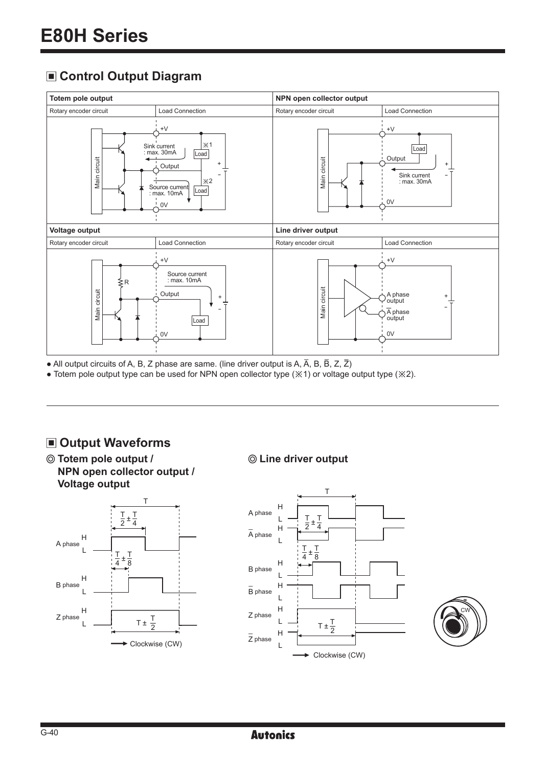### **Control Output Diagram**



• All output circuits of A, B, Z phase are same. (line driver output is A,  $\overline{A}$ , B,  $\overline{B}$ , Z,  $\overline{Z}$ )

● Totem pole output type can be used for NPN open collector type (※1) or voltage output type (※2).

### **Output Waveforms**

**Totem pole output / NPN open collector output / Voltage output**



#### **Line driver output**